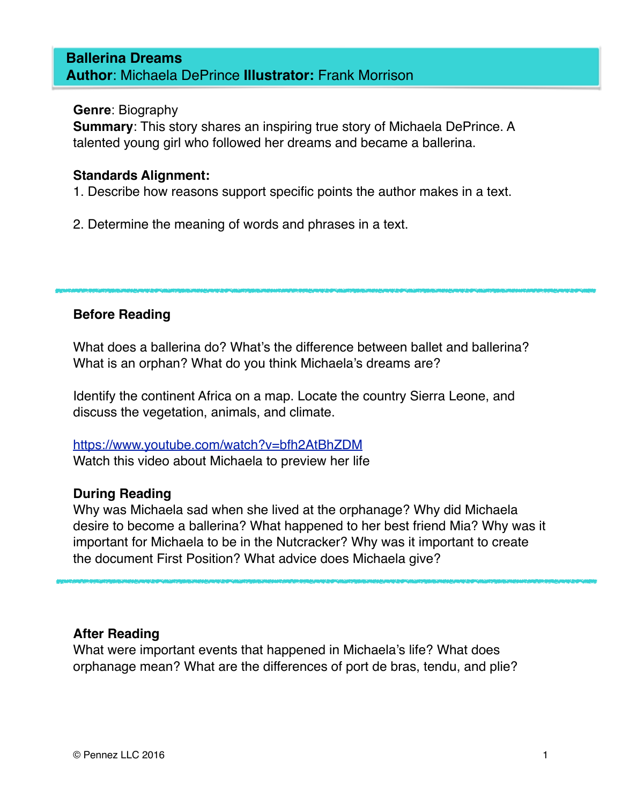#### **Ballerina Dreams Author**: Michaela DePrince **Illustrator:** Frank Morrison

#### **Genre**: Biography

**Summary**: This story shares an inspiring true story of Michaela DePrince. A talented young girl who followed her dreams and became a ballerina.

#### **Standards Alignment:**

1. Describe how reasons support specific points the author makes in a text.

2. Determine the meaning of words and phrases in a text.

#### **Before Reading**

What does a ballerina do? What's the difference between ballet and ballerina? What is an orphan? What do you think Michaela's dreams are?

Identify the continent Africa on a map. Locate the country Sierra Leone, and discuss the vegetation, animals, and climate.

#### <https://www.youtube.com/watch?v=bfh2AtBhZDM> Watch this video about Michaela to preview her life

#### **During Reading**

Why was Michaela sad when she lived at the orphanage? Why did Michaela desire to become a ballerina? What happened to her best friend Mia? Why was it important for Michaela to be in the Nutcracker? Why was it important to create the document First Position? What advice does Michaela give?

#### **After Reading**

What were important events that happened in Michaela's life? What does orphanage mean? What are the differences of port de bras, tendu, and plie?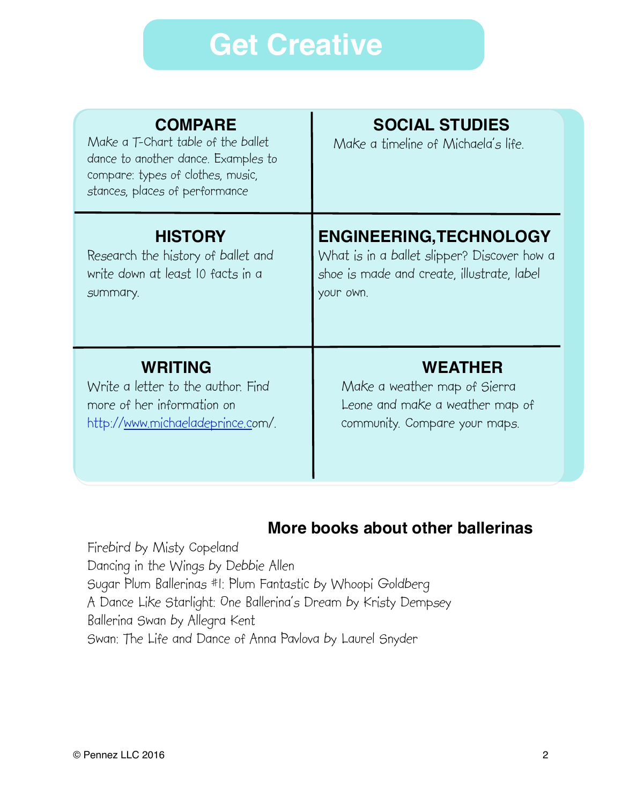## **Get Creative**

| <b>COMPARE</b><br>Make a T-Chart table of the ballet<br>dance to another dance. Examples to<br>compare: types of clothes, music,<br>stances, places of performance | <b>SOCIAL STUDIES</b><br>Make a timeline of Michaela's life. |
|--------------------------------------------------------------------------------------------------------------------------------------------------------------------|--------------------------------------------------------------|
| <b>HISTORY</b>                                                                                                                                                     | <b>ENGINEERING, TECHNOLOGY</b>                               |
| Research the history of ballet and                                                                                                                                 | What is in a ballet slipper? Discover how a                  |
| write down at least 10 facts in a                                                                                                                                  | shoe is made and create, illustrate, label                   |
| summary.                                                                                                                                                           | your own.                                                    |
| <b>WRITING</b>                                                                                                                                                     | <b>WEATHER</b>                                               |
| Write a letter to the author. Find                                                                                                                                 | Make a weather map of Sierra                                 |
| more of her information on                                                                                                                                         | Leone and make a weather map of                              |
| http:// <u>www.michaeladeprince.c</u> om/.                                                                                                                         | community. Compare your maps.                                |

### **More books about other ballerinas**

Firebird by Misty Copeland Dancing in the Wings by Debbie Allen Sugar Plum Ballerinas #1: Plum Fantastic by Whoopi Goldberg A Dance Like Starlight: One Ballerina's Dream by Kristy Dempsey Ballerina Swan by Allegra Kent Swan: The Life and Dance of Anna Pavlova by Laurel Snyder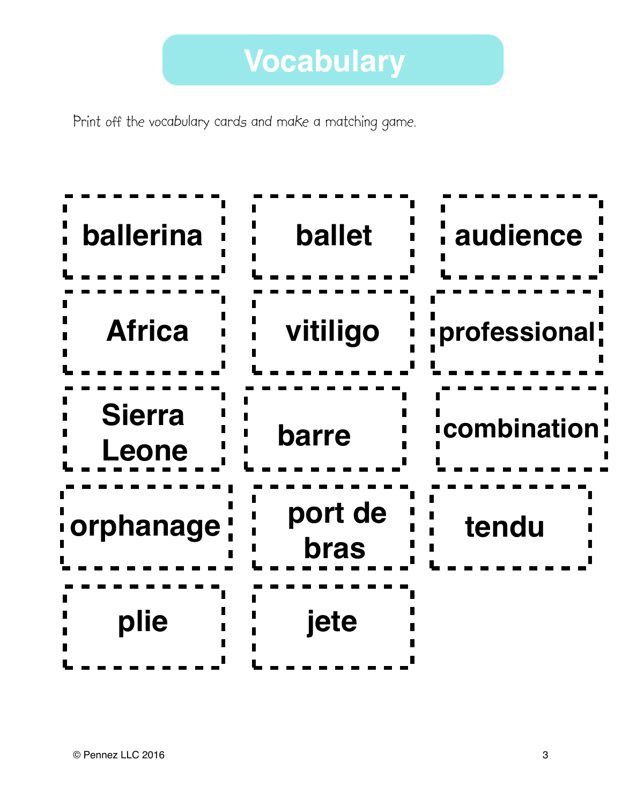Print off the vocabulary cards and make a matching game.

| ballerina              | <b>ballet</b>          | audience      |
|------------------------|------------------------|---------------|
| <b>Africa</b>          | vitiligo               | professional! |
| <b>Sierra</b><br>Leone | barre                  | icombination  |
| <u>i</u> orphanage !   | port de<br><b>bras</b> | tendu         |
| plie                   | jete                   |               |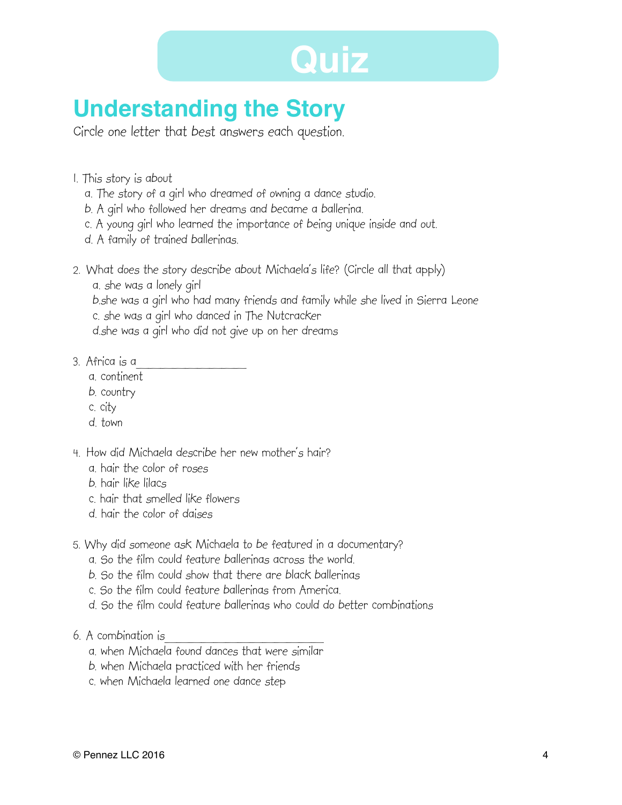# **Quiz**

### **Understanding the Story**

Circle one letter that best answers each question.

- 1. This story is about
	- a. The story of a girl who dreamed of owning a dance studio.
	- b. A girl who followed her dreams and became a ballerina.
	- c. A young girl who learned the importance of being unique inside and out.
	- d. A family of trained ballerinas.
- 2. What does the story describe about Michaela's life? (Circle all that apply)
	- a. she was a lonely girl

 b.she was a girl who had many friends and family while she lived in Sierra Leone c. she was a girl who danced in The Nutcracker

d.she was a girl who did not give up on her dreams

- 3. Africa is a\_\_\_\_\_\_\_\_\_
	- a. continent
	- b. country
	- c. city
	- d. town
- 4. How did Michaela describe her new mother's hair?
	- a. hair the color of roses
	- b. hair like lilacs
	- c. hair that smelled like flowers
	- d. hair the color of daises
- 5. Why did someone ask Michaela to be featured in a documentary?
	- a. So the film could feature ballerinas across the world.
	- b. So the film could show that there are black ballerinas
	- c. So the film could feature ballerinas from America.
	- d. So the film could feature ballerinas who could do better combinations
- 6. A combination is
	- a. when Michaela found dances that were similar
	- b. when Michaela practiced with her friends
	- c. when Michaela learned one dance step